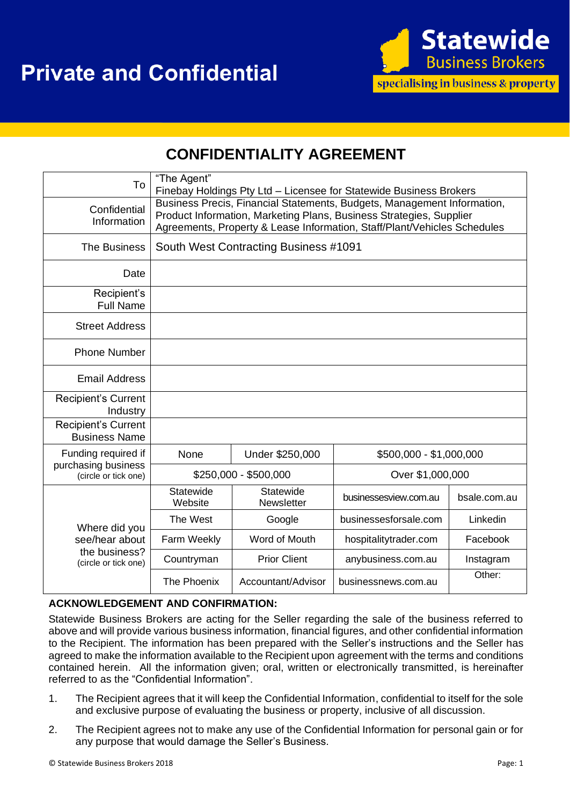

## **CONFIDENTIALITY AGREEMENT**

| To                                                                       | "The Agent"<br>Finebay Holdings Pty Ltd - Licensee for Statewide Business Brokers                                                                                                                                          |                         |                         |              |
|--------------------------------------------------------------------------|----------------------------------------------------------------------------------------------------------------------------------------------------------------------------------------------------------------------------|-------------------------|-------------------------|--------------|
| Confidential<br>Information                                              | Business Precis, Financial Statements, Budgets, Management Information,<br>Product Information, Marketing Plans, Business Strategies, Supplier<br>Agreements, Property & Lease Information, Staff/Plant/Vehicles Schedules |                         |                         |              |
| <b>The Business</b>                                                      | South West Contracting Business #1091                                                                                                                                                                                      |                         |                         |              |
| Date                                                                     |                                                                                                                                                                                                                            |                         |                         |              |
| Recipient's<br><b>Full Name</b>                                          |                                                                                                                                                                                                                            |                         |                         |              |
| <b>Street Address</b>                                                    |                                                                                                                                                                                                                            |                         |                         |              |
| <b>Phone Number</b>                                                      |                                                                                                                                                                                                                            |                         |                         |              |
| Email Address                                                            |                                                                                                                                                                                                                            |                         |                         |              |
| Recipient's Current<br>Industry                                          |                                                                                                                                                                                                                            |                         |                         |              |
| Recipient's Current<br><b>Business Name</b>                              |                                                                                                                                                                                                                            |                         |                         |              |
| Funding required if<br>purchasing business<br>(circle or tick one)       | None                                                                                                                                                                                                                       | Under \$250,000         | \$500,000 - \$1,000,000 |              |
|                                                                          | $$250,000 - $500,000$                                                                                                                                                                                                      |                         | Over \$1,000,000        |              |
| Where did you<br>see/hear about<br>the business?<br>(circle or tick one) | Statewide<br>Website                                                                                                                                                                                                       | Statewide<br>Newsletter | businessesview.com.au   | bsale.com.au |
|                                                                          | The West                                                                                                                                                                                                                   | Google                  | businessesforsale.com   | Linkedin     |
|                                                                          | Farm Weekly                                                                                                                                                                                                                | Word of Mouth           | hospitalitytrader.com   | Facebook     |
|                                                                          | Countryman                                                                                                                                                                                                                 | <b>Prior Client</b>     | anybusiness.com.au      | Instagram    |
|                                                                          | The Phoenix                                                                                                                                                                                                                | Accountant/Advisor      | businessnews.com.au     | Other:       |

## **ACKNOWLEDGEMENT AND CONFIRMATION:**

Statewide Business Brokers are acting for the Seller regarding the sale of the business referred to above and will provide various business information, financial figures, and other confidential information to the Recipient. The information has been prepared with the Seller's instructions and the Seller has agreed to make the information available to the Recipient upon agreement with the terms and conditions contained herein. All the information given; oral, written or electronically transmitted, is hereinafter referred to as the "Confidential Information".

- 1. The Recipient agrees that it will keep the Confidential Information, confidential to itself for the sole and exclusive purpose of evaluating the business or property, inclusive of all discussion.
- 2. The Recipient agrees not to make any use of the Confidential Information for personal gain or for any purpose that would damage the Seller's Business.